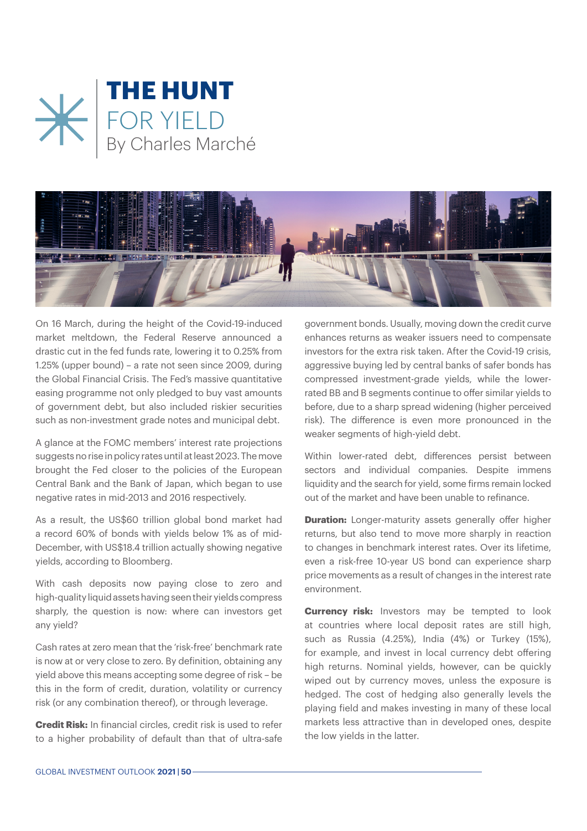



On 16 March, during the height of the Covid-19-induced market meltdown, the Federal Reserve announced a drastic cut in the fed funds rate, lowering it to 0.25% from 1.25% (upper bound) – a rate not seen since 2009, during the Global Financial Crisis. The Fed's massive quantitative easing programme not only pledged to buy vast amounts of government debt, but also included riskier securities such as non-investment grade notes and municipal debt.

A glance at the FOMC members' interest rate projections suggests no rise in policy rates until at least 2023. The move brought the Fed closer to the policies of the European Central Bank and the Bank of Japan, which began to use negative rates in mid-2013 and 2016 respectively.

As a result, the US\$60 trillion global bond market had a record 60% of bonds with yields below 1% as of mid-December, with US\$18.4 trillion actually showing negative yields, according to Bloomberg.

With cash deposits now paying close to zero and high-quality liquid assets having seen their yields compress sharply, the question is now: where can investors get any yield?

Cash rates at zero mean that the 'risk-free' benchmark rate is now at or very close to zero. By definition, obtaining any yield above this means accepting some degree of risk – be this in the form of credit, duration, volatility or currency risk (or any combination thereof), or through leverage.

**Credit Risk:** In financial circles, credit risk is used to refer to a higher probability of default than that of ultra-safe government bonds. Usually, moving down the credit curve enhances returns as weaker issuers need to compensate investors for the extra risk taken. After the Covid-19 crisis, aggressive buying led by central banks of safer bonds has compressed investment-grade yields, while the lowerrated BB and B segments continue to offer similar yields to before, due to a sharp spread widening (higher perceived risk). The difference is even more pronounced in the weaker segments of high-yield debt.

Within lower-rated debt, differences persist between sectors and individual companies. Despite immens liquidity and the search for yield, some firms remain locked out of the market and have been unable to refinance.

**Duration:** Longer-maturity assets generally offer higher returns, but also tend to move more sharply in reaction to changes in benchmark interest rates. Over its lifetime, even a risk-free 10-year US bond can experience sharp price movements as a result of changes in the interest rate environment.

**Currency risk:** Investors may be tempted to look at countries where local deposit rates are still high, such as Russia (4.25%), India (4%) or Turkey (15%), for example, and invest in local currency debt offering high returns. Nominal yields, however, can be quickly wiped out by currency moves, unless the exposure is hedged. The cost of hedging also generally levels the playing field and makes investing in many of these local markets less attractive than in developed ones, despite the low yields in the latter.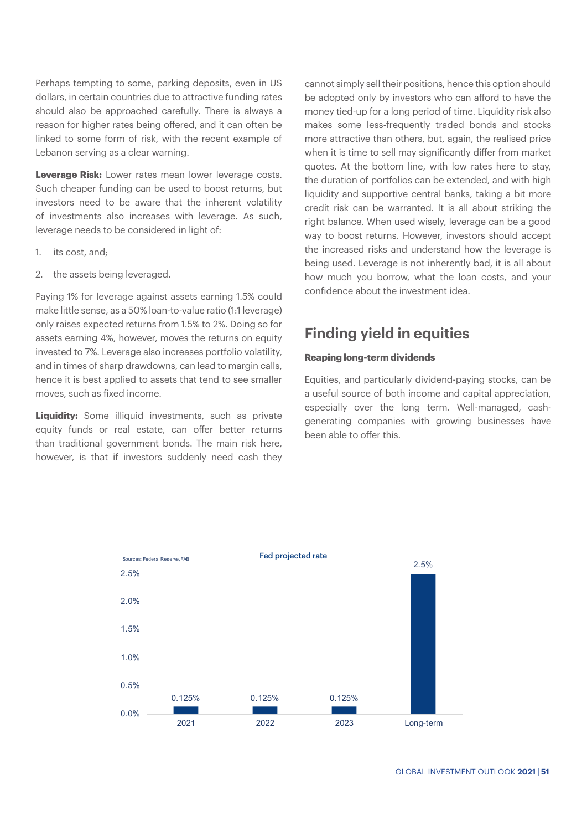Perhaps tempting to some, parking deposits, even in US dollars, in certain countries due to attractive funding rates should also be approached carefully. There is always a reason for higher rates being offered, and it can often be linked to some form of risk, with the recent example of Lebanon serving as a clear warning.

**Leverage Risk:** Lower rates mean lower leverage costs. Such cheaper funding can be used to boost returns, but investors need to be aware that the inherent volatility of investments also increases with leverage. As such, leverage needs to be considered in light of:

- 1. its cost, and;
- 2. the assets being leveraged.

Paying 1% for leverage against assets earning 1.5% could make little sense, as a 50% loan-to-value ratio (1:1 leverage) only raises expected returns from 1.5% to 2%. Doing so for assets earning 4%, however, moves the returns on equity invested to 7%. Leverage also increases portfolio volatility, and in times of sharp drawdowns, can lead to margin calls, hence it is best applied to assets that tend to see smaller moves, such as fixed income.

**Liquidity:** Some illiquid investments, such as private equity funds or real estate, can offer better returns than traditional government bonds. The main risk here, however, is that if investors suddenly need cash they cannot simply sell their positions, hence this option should be adopted only by investors who can afford to have the money tied-up for a long period of time. Liquidity risk also makes some less-frequently traded bonds and stocks more attractive than others, but, again, the realised price when it is time to sell may significantly differ from market quotes. At the bottom line, with low rates here to stay, the duration of portfolios can be extended, and with high liquidity and supportive central banks, taking a bit more credit risk can be warranted. It is all about striking the right balance. When used wisely, leverage can be a good way to boost returns. However, investors should accept the increased risks and understand how the leverage is being used. Leverage is not inherently bad, it is all about how much you borrow, what the loan costs, and your confidence about the investment idea.

## **Finding yield in equities**

## **Reaping long-term dividends**

Equities, and particularly dividend-paying stocks, can be a useful source of both income and capital appreciation, especially over the long term. Well-managed, cashgenerating companies with growing businesses have been able to offer this.